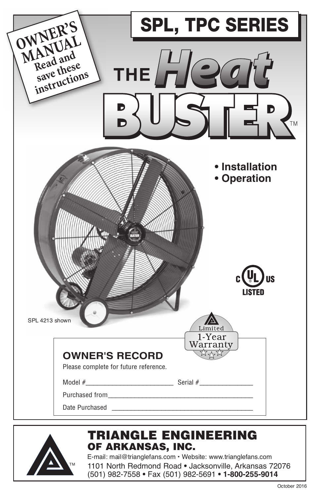|                                                                  | <b>SPL, TPC SERIES</b>                                                                                                                                                                                                         |  |  |
|------------------------------------------------------------------|--------------------------------------------------------------------------------------------------------------------------------------------------------------------------------------------------------------------------------|--|--|
| OWNER'S<br>MANUAL<br>Read and<br>save these<br>instructions<br>D | THE $HQ$<br><b>TM</b>                                                                                                                                                                                                          |  |  |
|                                                                  | • Installation<br>• Operation                                                                                                                                                                                                  |  |  |
| SPL 4213 shown                                                   | US<br><b>LISTED</b><br>Limited<br>1-Year                                                                                                                                                                                       |  |  |
| <b>OWNER'S RECORD</b><br>Please complete for future reference.   | Warranty                                                                                                                                                                                                                       |  |  |
|                                                                  | Date Purchased and the state of the state of the state of the state of the state of the state of the state of the state of the state of the state of the state of the state of the state of the state of the state of the stat |  |  |
|                                                                  | <b>TRIANGLE ENGINEERING</b>                                                                                                                                                                                                    |  |  |



# of arkansas, inc.

E-mail: mail@trianglefans.com • Website: www.trianglefans.com

1101 North Redmond Road **•** Jacksonville, Arkansas 72076 (501) 982-7558 **•** Fax (501) 982-5691 **• 1-800-255-9014**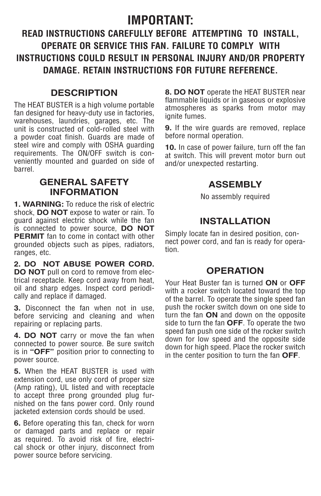# **IMPORTANT:**

# **READ INSTRUCTIONS CAREFULLY BEFORE ATTEMPTING TO INSTALL, OPERATE OR SERVICE THIS FAN. FAILURE TO COMPLY WITH INSTRUCTIONS COULD RESULT IN PERSONAL INJURY AND/OR PROPERTY DAMAGE. RETAIN INSTRUCTIONS FOR FUTURE REFERENCE.**

### **DESCRIPTION**

The HEAT BUSTER is a high volume portable fan designed for heavy-duty use in factories, warehouses, laundries, garages, etc. The unit is constructed of cold-rolled steel with a powder coat finish. Guards are made of steel wire and comply with OSHA guarding requirements. The ON/OFF switch is conveniently mounted and guarded on side of barrel.

### **GENERAL SAFETY INFORMATION**

**1. WARNING:** To reduce the risk of electric shock, **DO NOT** expose to water or rain. To guard against electric shock while the fan is connected to power source, **DO NOT PERMIT** fan to come in contact with other grounded objects such as pipes, radiators, ranges, etc.

**2. DO NOT ABUSE POWER CORD. DO NOT** pull on cord to remove from electrical receptacle. Keep cord away from heat, oil and sharp edges. Inspect cord periodically and replace if damaged.

**3.** Disconnect the fan when not in use, before servicing and cleaning and when repairing or replacing parts.

**4. DO NOT** carry or move the fan when connected to power source. Be sure switch is in **"OFF"** position prior to connecting to power source.

**5.** When the HEAT BUSTER is used with extension cord, use only cord of proper size (Amp rating), UL listed and with receptacle to accept three prong grounded plug furnished on the fans power cord. Only round jacketed extension cords should be used.

**6.** Before operating this fan, check for worn or damaged parts and replace or repair as required. To avoid risk of fire, electrical shock or other injury, disconnect from power source before servicing.

**8. DO NOT** operate the HEAT BUSTER near flammable liquids or in gaseous or explosive atmospheres as sparks from motor may ignite fumes.

**9.** If the wire guards are removed, replace before normal operation.

**10.** In case of power failure, turn off the fan at switch. This will prevent motor burn out and/or unexpected restarting.

# **ASSEMBLY**

No assembly required

# **INSTALLATION**

Simply locate fan in desired position, connect power cord, and fan is ready for operation.

### **OPERATION**

Your Heat Buster fan is turned **ON** or **OFF** with a rocker switch located toward the top of the barrel. To operate the single speed fan push the rocker switch down on one side to turn the fan **ON** and down on the opposite side to turn the fan **OFF**. To operate the two speed fan push one side of the rocker switch down for low speed and the opposite side down for high speed. Place the rocker switch in the center position to turn the fan **OFF**.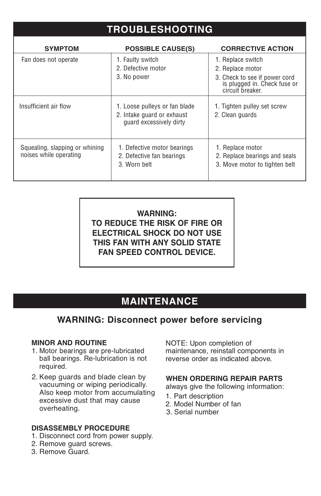# **TROUBLESHOOTING**

| <b>SYMPTOM</b>                                           | <b>POSSIBLE CAUSE(S)</b>                                                               | <b>CORRECTIVE ACTION</b>                                                                                                   |
|----------------------------------------------------------|----------------------------------------------------------------------------------------|----------------------------------------------------------------------------------------------------------------------------|
| Fan does not operate                                     | 1. Faulty switch<br>2. Defective motor<br>3. No power                                  | 1. Replace switch<br>2. Replace motor<br>3. Check to see if power cord<br>is plugged in. Check fuse or<br>circuit breaker. |
| Insufficient air flow                                    | 1. Loose pulleys or fan blade<br>2. Intake quard or exhaust<br>quard excessively dirty | 1. Tighten pulley set screw<br>2. Clean guards                                                                             |
| Squealing, slapping or whining<br>noises while operating | 1. Defective motor bearings<br>2. Defective fan bearings<br>3. Worn belt               | 1. Replace motor<br>2. Replace bearings and seals<br>3. Move motor to tighten belt                                         |

### **WARNING: TO REDUCE THE RISK OF FIRE OR ELECTRICAL SHOCK DO NOT USE THIS FAN WITH ANY SOLID STATE FAN SPEED CONTROL DEVICE.**

# **MAINTENANCE**

## **WARNING: Disconnect power before servicing**

#### **MINOR AND ROUTINE**

- 1. Motor bearings are pre-lubricated ball bearings. Re-lubrication is not required.
- 2. Keep guards and blade clean by vacuuming or wiping periodically. Also keep motor from accumulating excessive dust that may cause overheating.

#### **DISASSEMBLY PROCEDURE**

- 1. Disconnect cord from power supply.
- 2. Remove guard screws.
- 3. Remove Guard.

NOTE: Upon completion of maintenance, reinstall components in reverse order as indicated above.

### **When ordering repair parts**

always give the following information:

- 1. Part description
- 2. Model Number of fan
- 3. Serial number